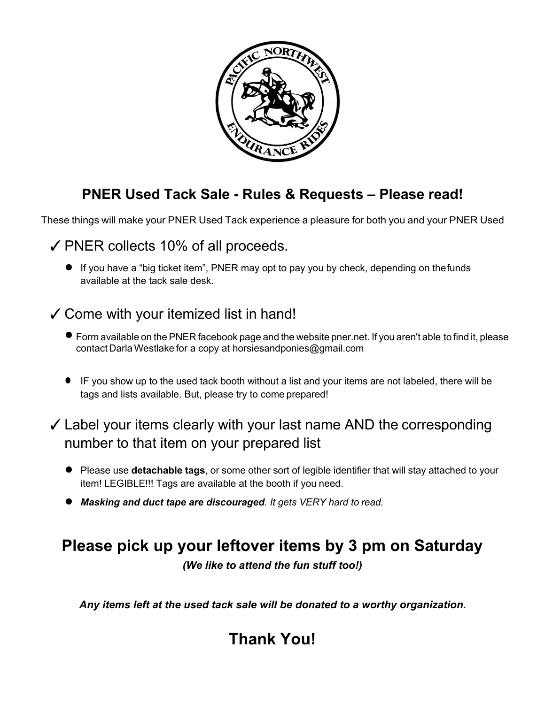

### **PNER Used Tack Sale - Rules & Requests – Please read!**

These things will make your PNER Used Tack experience a pleasure for both you and your PNER Used

✓PNER collects 10% of all proceeds.

● If you have a "big ticket item", PNER may opt to pay you by check, depending on thefunds available at the tack sale desk.

#### ✓Come with your itemized list in hand!

- Form available on the PNER facebook page and the website pner.net. If you aren't able to find it, please contact Darla Westlake for a copy at horsiesandponies@gmail.com
- IF you show up to the used tack booth without a list and your items are not labeled, there will be tags and lists available. But, please try to come prepared!

#### $\checkmark$  Label your items clearly with your last name AND the corresponding number to that item on your prepared list

- *●* Please use **detachable tags**, or some other sort of legible identifier that will stay attached to your item! LEGIBLE!!! Tags are available at the booth if you need.
- *Masking and duct tape are discouraged. It gets VERY hard to read.*

## **Please pick up your leftover items by 3 pm on Saturday**

*(We like to attend the fun stuff too!)*

*Any items left at the used tack sale will be donated to a worthy organization.*

# **Thank You!**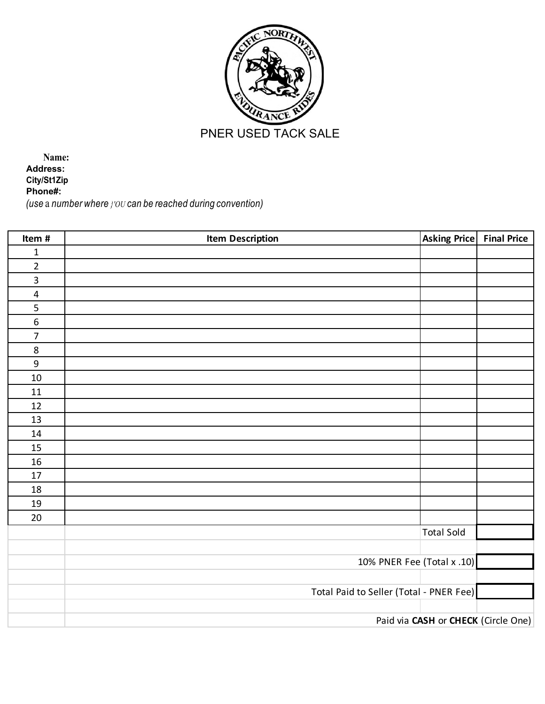

**Name: Address: City/St1Zip Phone#:** *(use* a *number where }'OU can be reached during convention)*

| Item #           | <b>Item Description</b>                 | <b>Asking Price</b> | <b>Final Price</b> |  |
|------------------|-----------------------------------------|---------------------|--------------------|--|
| $\mathbf{1}$     |                                         |                     |                    |  |
| $\overline{2}$   |                                         |                     |                    |  |
| $\mathsf{3}$     |                                         |                     |                    |  |
| $\overline{4}$   |                                         |                     |                    |  |
| $\frac{5}{6}$    |                                         |                     |                    |  |
|                  |                                         |                     |                    |  |
| $\overline{7}$   |                                         |                     |                    |  |
| $\bf 8$          |                                         |                     |                    |  |
| $\boldsymbol{9}$ |                                         |                     |                    |  |
| $10\,$           |                                         |                     |                    |  |
| 11               |                                         |                     |                    |  |
| 12               |                                         |                     |                    |  |
| 13               |                                         |                     |                    |  |
| 14               |                                         |                     |                    |  |
| 15               |                                         |                     |                    |  |
| 16               |                                         |                     |                    |  |
| $17\,$           |                                         |                     |                    |  |
| 18               |                                         |                     |                    |  |
| 19               |                                         |                     |                    |  |
| $20\,$           |                                         |                     |                    |  |
|                  |                                         | <b>Total Sold</b>   |                    |  |
|                  |                                         |                     |                    |  |
|                  | 10% PNER Fee (Total x .10)              |                     |                    |  |
|                  |                                         |                     |                    |  |
|                  | Total Paid to Seller (Total - PNER Fee) |                     |                    |  |
|                  |                                         |                     |                    |  |
|                  | Paid via CASH or CHECK (Circle One)     |                     |                    |  |
|                  |                                         |                     |                    |  |